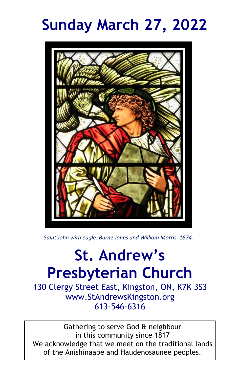# **Sunday March 27, 2022**



*Saint John with eagle. Burne Jones and William Morris. 1874.*

# **St. Andrew's Presbyterian Church**

130 Clergy Street East, Kingston, ON, K7K 3S3 www.StAndrewsKingston.org 613-546-6316

Gathering to serve God & neighbour in this community since 1817 We acknowledge that we meet on the traditional lands of the Anishinaabe and Haudenosaunee peoples.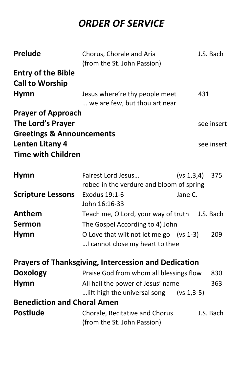# *ORDER OF SERVICE*

| <b>Prelude</b>                       | Chorus, Chorale and Aria                                    | J.S. Bach  |
|--------------------------------------|-------------------------------------------------------------|------------|
|                                      | (from the St. John Passion)                                 |            |
| <b>Entry of the Bible</b>            |                                                             |            |
| <b>Call to Worship</b>               |                                                             |            |
| <b>Hymn</b>                          | Jesus where're thy people meet                              | 431        |
|                                      | we are few, but thou art near                               |            |
| <b>Prayer of Approach</b>            |                                                             |            |
| The Lord's Prayer                    |                                                             | see insert |
| <b>Greetings &amp; Announcements</b> |                                                             |            |
| Lenten Litany 4                      |                                                             | see insert |
| <b>Time with Children</b>            |                                                             |            |
|                                      |                                                             |            |
| <b>Hymn</b>                          | Fairest Lord Jesus<br>(vs.1,3,4)                            | 375        |
|                                      | robed in the verdure and bloom of spring                    |            |
| <b>Scripture Lessons</b>             | Exodus 19:1-6<br>Jane C.                                    |            |
|                                      | John 16:16-33                                               |            |
| Anthem                               | Teach me, O Lord, your way of truth                         | J.S. Bach  |
| <b>Sermon</b>                        | The Gospel According to 4) John                             |            |
| <b>Hymn</b>                          | O Love that wilt not let me go (vs.1-3)                     | 209        |
|                                      | I cannot close my heart to thee                             |            |
|                                      |                                                             |            |
|                                      | <b>Prayers of Thanksgiving, Intercession and Dedication</b> |            |
| <b>Doxology</b>                      | Praise God from whom all blessings flow                     | 830        |
| <b>Hymn</b>                          | All hail the power of Jesus' name                           | 363        |
|                                      | lift high the universal song (vs.1,3-5)                     |            |
| <b>Benediction and Choral Amen</b>   |                                                             |            |
| <b>Postlude</b>                      | Chorale, Recitative and Chorus                              | J.S. Bach  |
|                                      | (from the St. John Passion)                                 |            |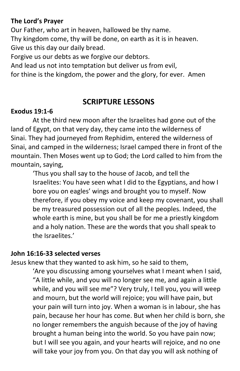#### **The Lord's Prayer**

Our Father, who art in heaven, hallowed be thy name. Thy kingdom come, thy will be done, on earth as it is in heaven. Give us this day our daily bread.

Forgive us our debts as we forgive our debtors.

And lead us not into temptation but deliver us from evil,

for thine is the kingdom, the power and the glory, for ever. Amen

#### **SCRIPTURE LESSONS**

#### **Exodus 19:1-6**

At the third new moon after the Israelites had gone out of the land of Egypt, on that very day, they came into the wilderness of Sinai. They had journeyed from Rephidim, entered the wilderness of Sinai, and camped in the wilderness; Israel camped there in front of the mountain. Then Moses went up to God; the Lord called to him from the mountain, saying,

> 'Thus you shall say to the house of Jacob, and tell the Israelites: You have seen what I did to the Egyptians, and how I bore you on eagles' wings and brought you to myself. Now therefore, if you obey my voice and keep my covenant, you shall be my treasured possession out of all the peoples. Indeed, the whole earth is mine, but you shall be for me a priestly kingdom and a holy nation. These are the words that you shall speak to the Israelites.'

#### **John 16:16-33 selected verses**

Jesus knew that they wanted to ask him, so he said to them,

'Are you discussing among yourselves what I meant when I said, "A little while, and you will no longer see me, and again a little while, and you will see me"? Very truly, I tell you, you will weep and mourn, but the world will rejoice; you will have pain, but your pain will turn into joy. When a woman is in labour, she has pain, because her hour has come. But when her child is born, she no longer remembers the anguish because of the joy of having brought a human being into the world. So you have pain now; but I will see you again, and your hearts will rejoice, and no one will take your joy from you. On that day you will ask nothing of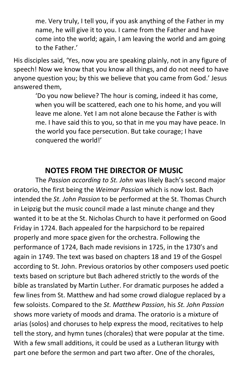me. Very truly, I tell you, if you ask anything of the Father in my name, he will give it to you. I came from the Father and have come into the world; again, I am leaving the world and am going to the Father.'

His disciples said, 'Yes, now you are speaking plainly, not in any figure of speech! Now we know that you know all things, and do not need to have anyone question you; by this we believe that you came from God.' Jesus answered them,

'Do you now believe? The hour is coming, indeed it has come, when you will be scattered, each one to his home, and you will leave me alone. Yet I am not alone because the Father is with me. I have said this to you, so that in me you may have peace. In the world you face persecution. But take courage; I have conquered the world!'

### **NOTES FROM THE DIRECTOR OF MUSIC**

The *Passion according to St. John* was likely Bach's second major oratorio, the first being the *Weimar Passion* which is now lost. Bach intended the *St. John Passion* to be performed at the St. Thomas Church in Leipzig but the music council made a last minute change and they wanted it to be at the St. Nicholas Church to have it performed on Good Friday in 1724. Bach appealed for the harpsichord to be repaired properly and more space given for the orchestra. Following the performance of 1724, Bach made revisions in 1725, in the 1730's and again in 1749. The text was based on chapters 18 and 19 of the Gospel according to St. John. Previous oratorios by other composers used poetic texts based on scripture but Bach adhered strictly to the words of the bible as translated by Martin Luther. For dramatic purposes he added a few lines from St. Matthew and had some crowd dialogue replaced by a few soloists. Compared to the *St. Matthew Passion*, his *St. John Passion* shows more variety of moods and drama. The oratorio is a mixture of arias (solos) and choruses to help express the mood, recitatives to help tell the story, and hymn tunes (chorales) that were popular at the time. With a few small additions, it could be used as a Lutheran liturgy with part one before the sermon and part two after. One of the chorales,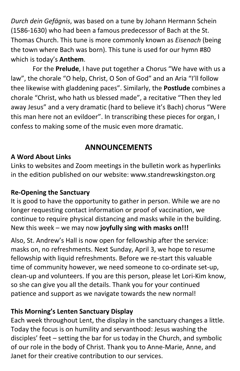*Durch dein Gefägnis*, was based on a tune by Johann Hermann Schein (1586-1630) who had been a famous predecessor of Bach at the St. Thomas Church. This tune is more commonly known as *Eisenach* (being the town where Bach was born). This tune is used for our hymn #80 which is today's **Anthem**.

For the **Prelude**, I have put together a Chorus "We have with us a law", the chorale "O help, Christ, O Son of God" and an Aria "I'll follow thee likewise with gladdening paces". Similarly, the **Postlude** combines a chorale "Christ, who hath us blessed made", a recitative "Then they led away Jesus" and a very dramatic (hard to believe it's Bach) chorus "Were this man here not an evildoer". In transcribing these pieces for organ, I confess to making some of the music even more dramatic.

# **ANNOUNCEMENTS**

#### **A Word About Links**

Links to websites and Zoom meetings in the bulletin work as hyperlinks in the edition published on our website: www.standrewskingston.org

#### **Re-Opening the Sanctuary**

It is good to have the opportunity to gather in person. While we are no longer requesting contact information or proof of vaccination, we continue to require physical distancing and masks while in the building. New this week – we may now **joyfully sing with masks on!!!**

Also, St. Andrew's Hall is now open for fellowship after the service: masks on, no refreshments. Next Sunday, April 3, we hope to resume fellowship with liquid refreshments. Before we re-start this valuable time of community however, we need someone to co-ordinate set-up, clean-up and volunteers. If you are this person, please let Lori-Kim know, so she can give you all the details. Thank you for your continued patience and support as we navigate towards the new normal!

#### **This Morning's Lenten Sanctuary Display**

Each week throughout Lent, the display in the sanctuary changes a little. Today the focus is on humility and servanthood: Jesus washing the disciples' feet – setting the bar for us today in the Church, and symbolic of our role in the body of Christ. Thank you to Anne-Marie, Anne, and Janet for their creative contribution to our services.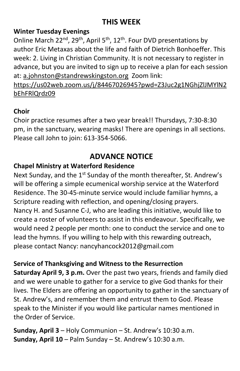# **THIS WEEK**

#### **Winter Tuesday Evenings**

Online March 22<sup>nd</sup>, 29<sup>th</sup>, April 5<sup>th</sup>, 12<sup>th</sup>. Four DVD presentations by author Eric Metaxas about the life and faith of Dietrich Bonhoeffer. This week: 2. Living in Christian Community. It is not necessary to register in advance, but you are invited to sign up to receive a plan for each session at: [a.johnston@standrewskingston.org](mailto:a.johnston@standrewskingston.org) Zoom link:

[https://us02web.zoom.us/j/84467026945?pwd=Z3Juc2g1NGhjZlJMYlN2](https://us02web.zoom.us/j/84467026945?pwd=Z3Juc2g1NGhjZlJMYlN2bEhFRlQrdz09) [bEhFRlQrdz09](https://us02web.zoom.us/j/84467026945?pwd=Z3Juc2g1NGhjZlJMYlN2bEhFRlQrdz09)

#### **Choir**

Choir practice resumes after a two year break!! Thursdays, 7:30-8:30 pm, in the sanctuary, wearing masks! There are openings in all sections. Please call John to join: 613-354-5066.

# **ADVANCE NOTICE**

#### **Chapel Ministry at Waterford Residence**

Next Sunday, and the 1<sup>st</sup> Sunday of the month thereafter, St. Andrew's will be offering a simple ecumenical worship service at the Waterford Residence. The 30-45-minute service would include familiar hymns, a Scripture reading with reflection, and opening/closing prayers. Nancy H. and Susanne C-J, who are leading this initiative, would like to create a roster of volunteers to assist in this endeavour. Specifically, we would need 2 people per month: one to conduct the service and one to lead the hymns. If you willing to help with this rewarding outreach, please contact Nancy: nancyhancock2012@gmail.com

#### **Service of Thanksgiving and Witness to the Resurrection**

**Saturday April 9, 3 p.m.** Over the past two years, friends and family died and we were unable to gather for a service to give God thanks for their lives. The Elders are offering an opportunity to gather in the sanctuary of St. Andrew's, and remember them and entrust them to God. Please speak to the Minister if you would like particular names mentioned in the Order of Service.

**Sunday, April 3** – Holy Communion – St. Andrew's 10:30 a.m. **Sunday, April 10** – Palm Sunday – St. Andrew's 10:30 a.m.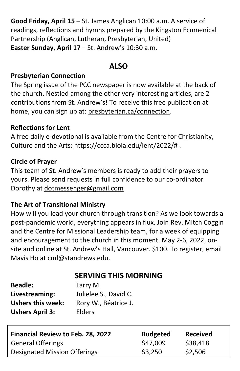**Good Friday, April 15** – St. James Anglican 10:00 a.m. A service of readings, reflections and hymns prepared by the Kingston Ecumenical Partnership (Anglican, Lutheran, Presbyterian, United) **Easter Sunday, April 17** – St. Andrew's 10:30 a.m.

# **ALSO**

#### **Presbyterian Connection**

The Spring issue of the PCC newspaper is now available at the back of the church. Nestled among the other very interesting articles, are 2 contributions from St. Andrew's! To receive this free publication at home, you can sign up at: [presbyterian.ca/connection.](http://www.presbyterian.ca/connection)

#### **Reflections for Lent**

A free daily e-devotional is available from the Centre for Christianity, Culture and the Arts: [https://ccca.biola.edu/lent/2022/#](https://ccca.biola.edu/lent/2022/) .

#### **Circle of Prayer**

This team of St. Andrew's members is ready to add their prayers to yours. Please send requests in full confidence to our co-ordinator Dorothy at [dotmessenger@gmail.com](mailto:dotmessenger@gmail.com)

#### **The Art of Transitional Ministry**

How will you lead your church through transition? As we look towards a post-pandemic world, everything appears in flux. Join Rev. Mitch Coggin and the Centre for Missional Leadership team, for a week of equipping and encouragement to the church in this moment. May 2-6, 2022, onsite and online at St. Andrew's Hall, Vancouver. \$100. To register, email Mavis Ho at cml@standrews.edu.

# **SERVING THIS MORNING**

| <b>Beadle:</b>           | Larry M.              |
|--------------------------|-----------------------|
| Livestreaming:           | Julielee S., David C. |
| <b>Ushers this week:</b> | Rory W., Béatrice J.  |
| <b>Ushers April 3:</b>   | Elders                |

| Financial Review to Feb. 28, 2022 | <b>Budgeted</b> | <b>Received</b> |
|-----------------------------------|-----------------|-----------------|
| <b>General Offerings</b>          | \$47,009        | \$38,418        |
| Designated Mission Offerings      | \$3,250         | \$2,506         |